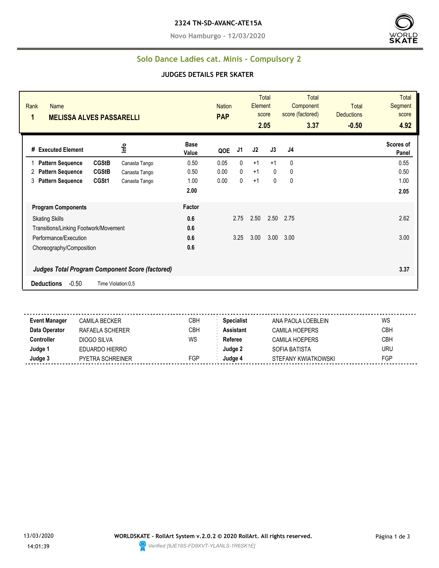**Novo Hamburgo - 12/03/2020**



### **Solo Dance Ladies cat. Minis - Compulsory 2**

#### **JUDGES DETAILS PER SKATER**

| Rank<br>Name<br>1<br><b>MELISSA ALVES PASSARELLI</b> |                                                        |                      | <b>Nation</b><br><b>PAP</b> |      | Element | Total<br>score<br>2.05 | <b>Total</b><br>Component<br>score (factored)<br>3.37 | <b>Total</b><br><b>Deductions</b><br>$-0.50$ | <b>Total</b><br>Segment<br>score<br>4.92 |
|------------------------------------------------------|--------------------------------------------------------|----------------------|-----------------------------|------|---------|------------------------|-------------------------------------------------------|----------------------------------------------|------------------------------------------|
| # Executed Element                                   | ١۴                                                     | <b>Base</b><br>Value | QOE                         | J1   | J2      | J3                     | J4                                                    |                                              | Scores of<br>Panel                       |
| <b>CGStB</b><br><b>Pattern Sequence</b>              | Canasta Tango                                          | 0.50                 | 0.05                        | 0    | $+1$    | $+1$                   | 0                                                     |                                              | 0.55                                     |
| <b>CGStB</b><br><b>Pattern Sequence</b><br>2         | Canasta Tango                                          | 0.50                 | 0.00                        | 0    | $+1$    | $\Omega$               | 0                                                     |                                              | 0.50                                     |
| <b>Pattern Sequence</b><br>CGSt1<br>3                | Canasta Tango                                          | 1.00                 | 0.00                        | 0    | $+1$    | $\mathbf{0}$           | 0                                                     |                                              | 1.00                                     |
|                                                      |                                                        | 2.00                 |                             |      |         |                        |                                                       |                                              | 2.05                                     |
| <b>Program Components</b>                            |                                                        | Factor               |                             |      |         |                        |                                                       |                                              |                                          |
| <b>Skating Skills</b>                                |                                                        | 0.6                  |                             | 2.75 | 2.50    | 2.50                   | 2.75                                                  |                                              | 2.62                                     |
| Transitions/Linking Footwork/Movement                |                                                        | 0.6                  |                             |      |         |                        |                                                       |                                              |                                          |
| Performance/Execution                                |                                                        | 0.6                  |                             | 3.25 | 3.00    | 3.00                   | 3.00                                                  |                                              | 3.00                                     |
| Choreography/Composition                             |                                                        | 0.6                  |                             |      |         |                        |                                                       |                                              |                                          |
|                                                      | <b>Judges Total Program Component Score (factored)</b> |                      |                             |      |         |                        |                                                       |                                              | 3.37                                     |
| $-0.50$<br><b>Deductions</b>                         | Time Violation:0,5                                     |                      |                             |      |         |                        |                                                       |                                              |                                          |

**Event Manager** CAMILA BECKER CBH **Specialist** ANA PAOLA LOEBLEIN WS **Data Operator** RAFAELA SCHERER CBH **Assistant** CAMILA HOEPERS CBH **Controller** DIOGO SILVA WS Referee CAMILA HOEPERS CBH **Judge 1** EDUARDO HIERRO **Judge 2** SOFIA BATISTA URU **Judge 3** PYETRA SCHREINER FGP **Judge 4** STEFANY KWIATKOWSKI FGP

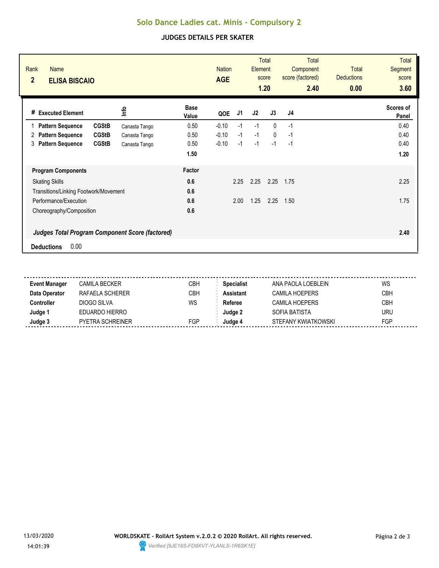# **Solo Dance Ladies cat. Minis - Compulsory 2**

### **JUDGES DETAILS PER SKATER**

| Rank<br><b>Name</b><br>$\overline{2}$<br><b>ELISA BISCAIO</b> |               |                      | <b>Nation</b><br><b>AGE</b> |      | Element | <b>Total</b><br>score<br>1.20 | <b>Total</b><br>Component<br>score (factored)<br>2.40 | Total<br><b>Deductions</b><br>0.00 | <b>Total</b><br><b>Segment</b><br>score<br>3.60 |
|---------------------------------------------------------------|---------------|----------------------|-----------------------------|------|---------|-------------------------------|-------------------------------------------------------|------------------------------------|-------------------------------------------------|
| # Executed Element                                            | <u>lnfo</u>   | <b>Base</b><br>Value | QOE                         | J1   | J2      | J3                            | J <sub>4</sub>                                        |                                    | Scores of<br>Panel                              |
| <b>CGStB</b><br><b>Pattern Sequence</b>                       | Canasta Tango | 0.50                 | $-0.10$                     | $-1$ | $-1$    | $\mathbf{0}$                  | $-1$                                                  |                                    | 0.40                                            |
| <b>CGStB</b><br><b>Pattern Sequence</b><br>2                  | Canasta Tango | 0.50                 | $-0.10$                     | $-1$ | $-1$    | $\mathbf{0}$                  | $-1$                                                  |                                    | 0.40                                            |
| <b>CGStB</b><br><b>Pattern Sequence</b><br>3                  | Canasta Tango | 0.50                 | $-0.10$                     | $-1$ | $-1$    | $-1$                          | $-1$                                                  |                                    | 0.40                                            |
|                                                               |               | 1.50                 |                             |      |         |                               |                                                       |                                    | 1.20                                            |
| <b>Program Components</b>                                     |               | Factor               |                             |      |         |                               |                                                       |                                    |                                                 |
| <b>Skating Skills</b>                                         |               | 0.6                  |                             | 2.25 | 2.25    | 2.25                          | 1.75                                                  |                                    | 2.25                                            |
| Transitions/Linking Footwork/Movement                         |               | 0.6                  |                             |      |         |                               |                                                       |                                    |                                                 |
| Performance/Execution                                         |               | 0.6                  |                             | 2.00 | 1.25    | 2.25                          | 1.50                                                  |                                    | 1.75                                            |
| Choreography/Composition                                      |               | 0.6                  |                             |      |         |                               |                                                       |                                    |                                                 |
| <b>Judges Total Program Component Score (factored)</b>        |               |                      |                             |      |         |                               |                                                       |                                    | 2.40                                            |
| 0.00<br><b>Deductions</b>                                     |               |                      |                             |      |         |                               |                                                       |                                    |                                                 |

| <b>Event Manager</b> | CAMILA BECKER    | СВН        | <b>Specialist</b> | ANA PAOLA LOFBLEIN    | WS         |
|----------------------|------------------|------------|-------------------|-----------------------|------------|
| Data Operator        | RAFAELA SCHERER  | <b>CBH</b> | Assistant         | <b>CAMILA HOEPERS</b> | <b>CBH</b> |
| :cntroller           | DIOGO SILVA      | WS         | Referee           | CAMILA HOEPERS        | <b>CBH</b> |
| Judge '              | EDUARDO HIERRO   |            | Judae 2           | SOFIA BATISTA         | <b>URU</b> |
| Judge 3              | PYETRA SCHREINER | <b>FGP</b> | Judae 4           | STEFANY KWIATKOWSKI   | FGP        |
|                      |                  |            |                   |                       |            |